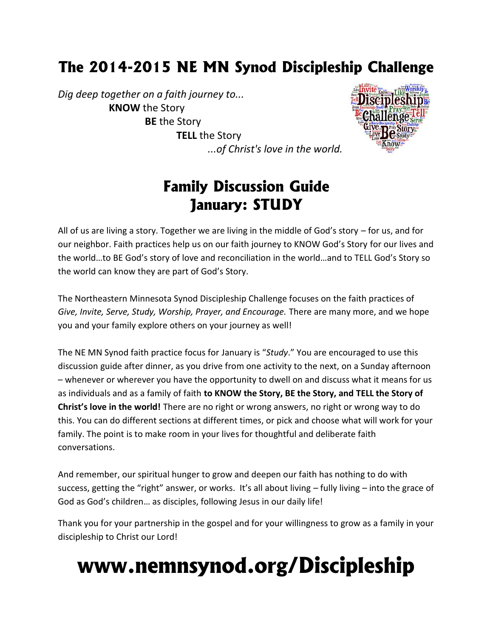# **The 2014-2015 NE MN Synod Discipleship Challenge**

*Dig deep together on a faith journey to...* **KNOW** the Story **BE** the Story **TELL** the Story *...of Christ's love in the world.*



### **Family Discussion Guide January: STUDY**

All of us are living a story. Together we are living in the middle of God's story – for us, and for our neighbor. Faith practices help us on our faith journey to KNOW God's Story for our lives and the world…to BE God's story of love and reconciliation in the world…and to TELL God's Story so the world can know they are part of God's Story.

The Northeastern Minnesota Synod Discipleship Challenge focuses on the faith practices of *Give, Invite, Serve, Study, Worship, Prayer, and Encourage.* There are many more, and we hope you and your family explore others on your journey as well!

The NE MN Synod faith practice focus for January is "*Study*." You are encouraged to use this discussion guide after dinner, as you drive from one activity to the next, on a Sunday afternoon – whenever or wherever you have the opportunity to dwell on and discuss what it means for us as individuals and as a family of faith **to KNOW the Story, BE the Story, and TELL the Story of Christ's love in the world!** There are no right or wrong answers, no right or wrong way to do this. You can do different sections at different times, or pick and choose what will work for your family. The point is to make room in your lives for thoughtful and deliberate faith conversations.

And remember, our spiritual hunger to grow and deepen our faith has nothing to do with success, getting the "right" answer, or works. It's all about living – fully living – into the grace of God as God's children… as disciples, following Jesus in our daily life!

Thank you for your partnership in the gospel and for your willingness to grow as a family in your discipleship to Christ our Lord!

# **www.nemnsynod.org/Discipleship**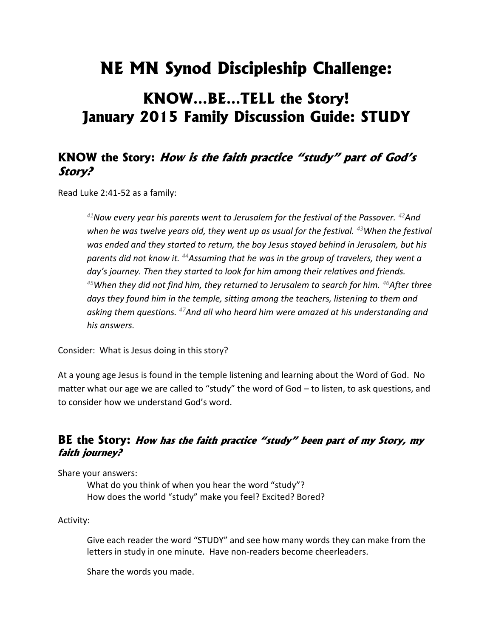## **NE MN Synod Discipleship Challenge:**

### **KNOW…BE…TELL the Story! January 2015 Family Discussion Guide: STUDY**

### **KNOW the Story:** *How is the faith practice "study" part of God's Story?*

Read Luke 2:41-52 as a family:

*<sup>41</sup>Now every year his parents went to Jerusalem for the festival of the Passover. <sup>42</sup>And when he was twelve years old, they went up as usual for the festival. <sup>43</sup>When the festival was ended and they started to return, the boy Jesus stayed behind in Jerusalem, but his parents did not know it. <sup>44</sup>Assuming that he was in the group of travelers, they went a day's journey. Then they started to look for him among their relatives and friends. <sup>45</sup>When they did not find him, they returned to Jerusalem to search for him. <sup>46</sup>After three days they found him in the temple, sitting among the teachers, listening to them and asking them questions. <sup>47</sup>And all who heard him were amazed at his understanding and his answers.*

Consider: What is Jesus doing in this story?

At a young age Jesus is found in the temple listening and learning about the Word of God. No matter what our age we are called to "study" the word of God – to listen, to ask questions, and to consider how we understand God's word.

#### **BE the Story:** *How has the faith practice "study" been part of my Story, my faith journey?*

Share your answers:

What do you think of when you hear the word "study"? How does the world "study" make you feel? Excited? Bored?

Activity:

Give each reader the word "STUDY" and see how many words they can make from the letters in study in one minute. Have non-readers become cheerleaders.

Share the words you made.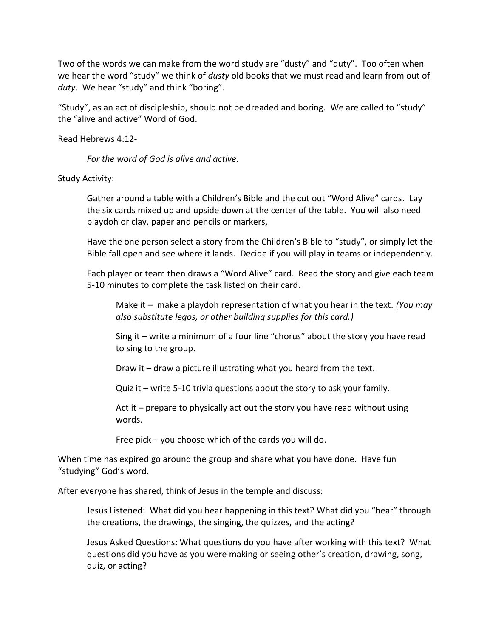Two of the words we can make from the word study are "dusty" and "duty". Too often when we hear the word "study" we think of *dusty* old books that we must read and learn from out of *duty*. We hear "study" and think "boring".

"Study", as an act of discipleship, should not be dreaded and boring. We are called to "study" the "alive and active" Word of God.

Read Hebrews 4:12-

*For the word of God is alive and active.*

Study Activity:

Gather around a table with a Children's Bible and the cut out "Word Alive" cards. Lay the six cards mixed up and upside down at the center of the table. You will also need playdoh or clay, paper and pencils or markers,

Have the one person select a story from the Children's Bible to "study", or simply let the Bible fall open and see where it lands. Decide if you will play in teams or independently.

Each player or team then draws a "Word Alive" card. Read the story and give each team 5-10 minutes to complete the task listed on their card.

Make it – make a playdoh representation of what you hear in the text. *(You may also substitute legos, or other building supplies for this card.)*

Sing it – write a minimum of a four line "chorus" about the story you have read to sing to the group.

Draw it – draw a picture illustrating what you heard from the text.

Quiz it – write 5-10 trivia questions about the story to ask your family.

Act it – prepare to physically act out the story you have read without using words.

Free pick – you choose which of the cards you will do.

When time has expired go around the group and share what you have done. Have fun "studying" God's word.

After everyone has shared, think of Jesus in the temple and discuss:

Jesus Listened: What did you hear happening in this text? What did you "hear" through the creations, the drawings, the singing, the quizzes, and the acting?

Jesus Asked Questions: What questions do you have after working with this text? What questions did you have as you were making or seeing other's creation, drawing, song, quiz, or acting?